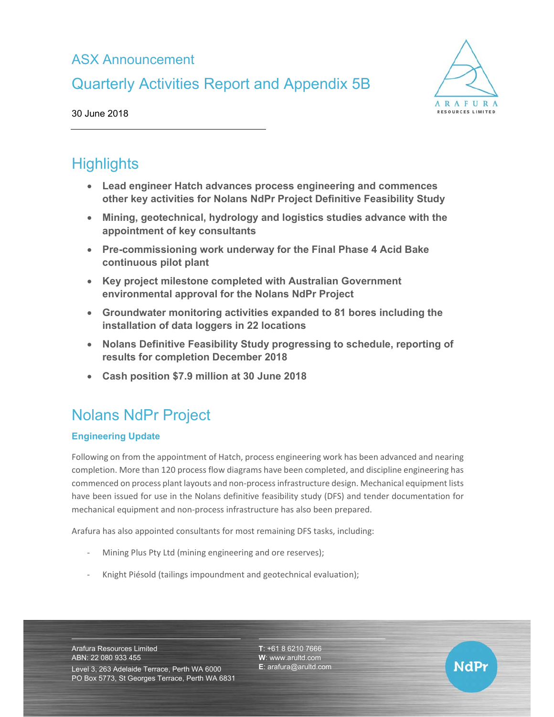# ASX Announcement

# Quarterly Activities Report and Appendix 5B



30 June 2018

# **Highlights**

- **Lead engineer Hatch advances process engineering and commences other key activities for Nolans NdPr Project Definitive Feasibility Study**
- **Mining, geotechnical, hydrology and logistics studies advance with the appointment of key consultants**
- **Pre-commissioning work underway for the Final Phase 4 Acid Bake continuous pilot plant**
- **Key project milestone completed with Australian Government environmental approval for the Nolans NdPr Project**
- **Groundwater monitoring activities expanded to 81 bores including the installation of data loggers in 22 locations**
- **Nolans Definitive Feasibility Study progressing to schedule, reporting of results for completion December 2018**
- **Cash position \$7.9 million at 30 June 2018**

# Nolans NdPr Project

# **Engineering Update**

Following on from the appointment of Hatch, process engineering work has been advanced and nearing completion. More than 120 process flow diagrams have been completed, and discipline engineering has commenced on process plant layouts and non-process infrastructure design. Mechanical equipment lists have been issued for use in the Nolans definitive feasibility study (DFS) and tender documentation for mechanical equipment and non‐process infrastructure has also been prepared.

Arafura has also appointed consultants for most remaining DFS tasks, including:

- ‐ Mining Plus Pty Ltd (mining engineering and ore reserves);
- ‐ Knight Piésold (tailings impoundment and geotechnical evaluation);

Arafura Resources Limited ABN: 22 080 933 455

Level 3, 263 Adelaide Terrace, Perth WA 6000 PO Box 5773, St Georges Terrace, Perth WA 6831 **T**: +61 8 6210 7666 **W**: www.arultd.com **E**: arafura@arultd.com

NdPr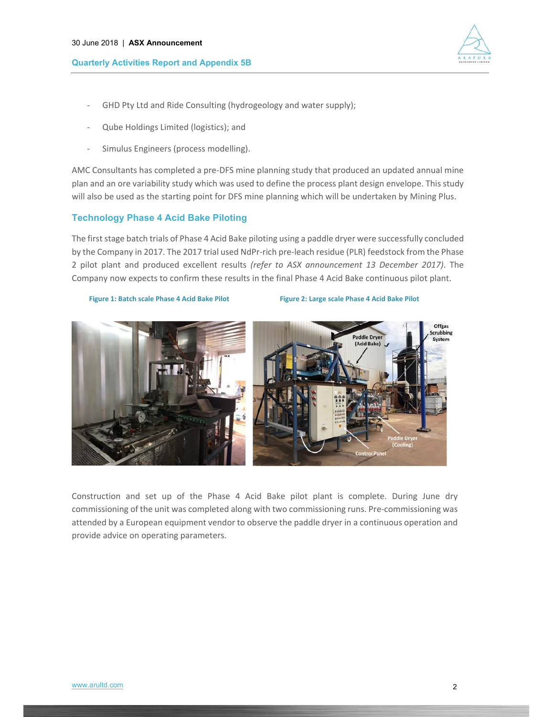

- GHD Pty Ltd and Ride Consulting (hydrogeology and water supply);
- ‐ Qube Holdings Limited (logistics); and
- Simulus Engineers (process modelling).

AMC Consultants has completed a pre‐DFS mine planning study that produced an updated annual mine plan and an ore variability study which was used to define the process plant design envelope. This study will also be used as the starting point for DFS mine planning which will be undertaken by Mining Plus.

## **Technology Phase 4 Acid Bake Piloting**

The first stage batch trials of Phase 4 Acid Bake piloting using a paddle dryer were successfully concluded by the Company in 2017. The 2017 trial used NdPr-rich pre-leach residue (PLR) feedstock from the Phase 2 pilot plant and produced excellent results *(refer to ASX announcement 13 December 2017)*. The Company now expects to confirm these results in the final Phase 4 Acid Bake continuous pilot plant.

 **Figure 1: Batch scale Phase 4 Acid Bake Pilot Figure 2: Large scale Phase 4 Acid Bake Pilot**



Construction and set up of the Phase 4 Acid Bake pilot plant is complete. During June dry commissioning of the unit was completed along with two commissioning runs. Pre-commissioning was attended by a European equipment vendor to observe the paddle dryer in a continuous operation and provide advice on operating parameters.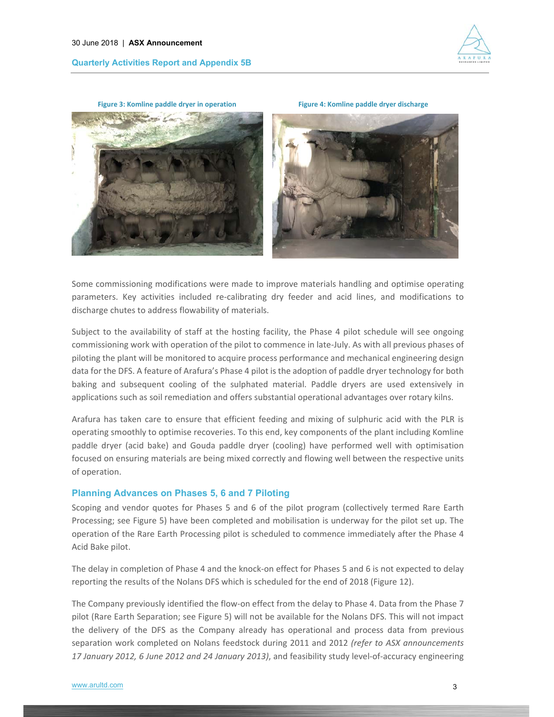

#### **Figure 3: Komline paddle dryer in operation Figure 4: Komline paddle dryer discharge**



Some commissioning modifications were made to improve materials handling and optimise operating parameters. Key activities included re-calibrating dry feeder and acid lines, and modifications to discharge chutes to address flowability of materials.

Subject to the availability of staff at the hosting facility, the Phase 4 pilot schedule will see ongoing commissioning work with operation of the pilot to commence in late‐July. As with all previous phases of piloting the plant will be monitored to acquire process performance and mechanical engineering design data for the DFS. A feature of Arafura's Phase 4 pilot is the adoption of paddle dryer technology for both baking and subsequent cooling of the sulphated material. Paddle dryers are used extensively in applications such as soil remediation and offers substantial operational advantages over rotary kilns.

Arafura has taken care to ensure that efficient feeding and mixing of sulphuric acid with the PLR is operating smoothly to optimise recoveries. To this end, key components of the plant including Komline paddle dryer (acid bake) and Gouda paddle dryer (cooling) have performed well with optimisation focused on ensuring materials are being mixed correctly and flowing well between the respective units of operation.

# **Planning Advances on Phases 5, 6 and 7 Piloting**

Scoping and vendor quotes for Phases 5 and 6 of the pilot program (collectively termed Rare Earth Processing; see Figure 5) have been completed and mobilisation is underway for the pilot set up. The operation of the Rare Earth Processing pilot is scheduled to commence immediately after the Phase 4 Acid Bake pilot.

The delay in completion of Phase 4 and the knock-on effect for Phases 5 and 6 is not expected to delay reporting the results of the Nolans DFS which is scheduled for the end of 2018 (Figure 12).

The Company previously identified the flow-on effect from the delay to Phase 4. Data from the Phase 7 pilot (Rare Earth Separation; see Figure 5) will not be available for the Nolans DFS. This will not impact the delivery of the DFS as the Company already has operational and process data from previous separation work completed on Nolans feedstock during 2011 and 2012 *(refer to ASX announcements 17 January 2012, 6 June 2012 and 24 January 2013)*, and feasibility study level‐of‐accuracy engineering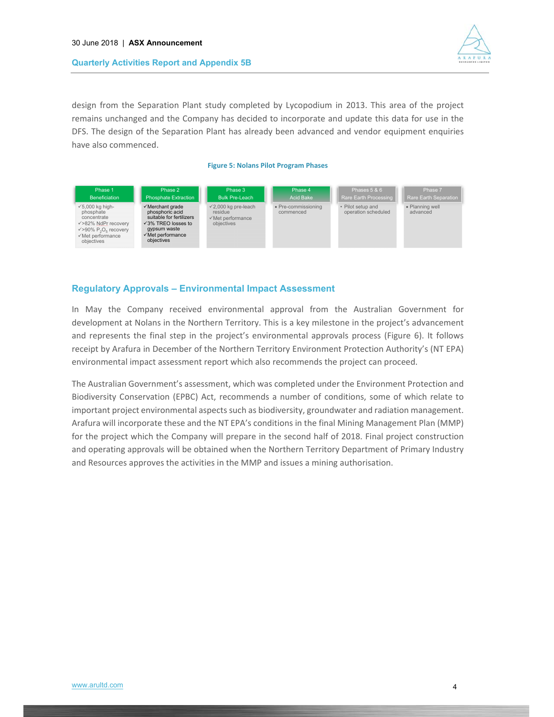

design from the Separation Plant study completed by Lycopodium in 2013. This area of the project remains unchanged and the Company has decided to incorporate and update this data for use in the DFS. The design of the Separation Plant has already been advanced and vendor equipment enquiries have also commenced.

#### **Figure 5: Nolans Pilot Program Phases**



# **Regulatory Approvals – Environmental Impact Assessment**

In May the Company received environmental approval from the Australian Government for development at Nolans in the Northern Territory. This is a key milestone in the project's advancement and represents the final step in the project's environmental approvals process (Figure 6). It follows receipt by Arafura in December of the Northern Territory Environment Protection Authority's (NT EPA) environmental impact assessment report which also recommends the project can proceed.

The Australian Government's assessment, which was completed under the Environment Protection and Biodiversity Conservation (EPBC) Act, recommends a number of conditions, some of which relate to important project environmental aspects such as biodiversity, groundwater and radiation management. Arafura will incorporate these and the NT EPA's conditions in the final Mining Management Plan (MMP) for the project which the Company will prepare in the second half of 2018. Final project construction and operating approvals will be obtained when the Northern Territory Department of Primary Industry and Resources approves the activities in the MMP and issues a mining authorisation.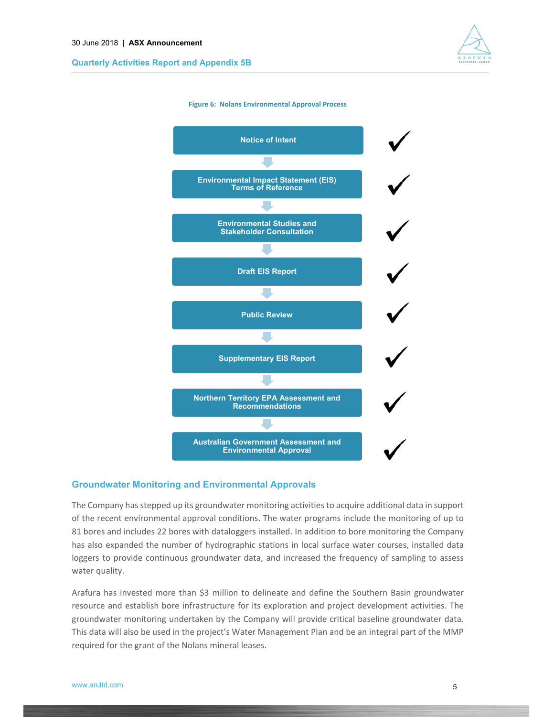





# **Groundwater Monitoring and Environmental Approvals**

The Company has stepped up its groundwater monitoring activities to acquire additional data in support of the recent environmental approval conditions. The water programs include the monitoring of up to 81 bores and includes 22 bores with dataloggers installed. In addition to bore monitoring the Company has also expanded the number of hydrographic stations in local surface water courses, installed data loggers to provide continuous groundwater data, and increased the frequency of sampling to assess water quality.

Arafura has invested more than \$3 million to delineate and define the Southern Basin groundwater resource and establish bore infrastructure for its exploration and project development activities. The groundwater monitoring undertaken by the Company will provide critical baseline groundwater data. This data will also be used in the project's Water Management Plan and be an integral part of the MMP required for the grant of the Nolans mineral leases.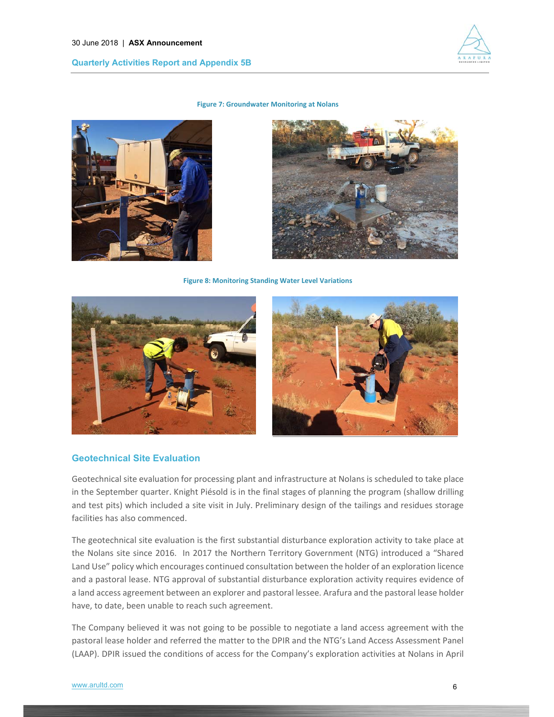



#### **Figure 7: Groundwater Monitoring at Nolans**



**Figure 8: Monitoring Standing Water Level Variations**





# **Geotechnical Site Evaluation**

Geotechnical site evaluation for processing plant and infrastructure at Nolans is scheduled to take place in the September quarter. Knight Piésold is in the final stages of planning the program (shallow drilling and test pits) which included a site visit in July. Preliminary design of the tailings and residues storage facilities has also commenced.

The geotechnical site evaluation is the first substantial disturbance exploration activity to take place at the Nolans site since 2016. In 2017 the Northern Territory Government (NTG) introduced a "Shared Land Use" policy which encourages continued consultation between the holder of an exploration licence and a pastoral lease. NTG approval of substantial disturbance exploration activity requires evidence of a land access agreement between an explorer and pastoral lessee. Arafura and the pastoral lease holder have, to date, been unable to reach such agreement.

The Company believed it was not going to be possible to negotiate a land access agreement with the pastoral lease holder and referred the matter to the DPIR and the NTG's Land Access Assessment Panel (LAAP). DPIR issued the conditions of access for the Company's exploration activities at Nolans in April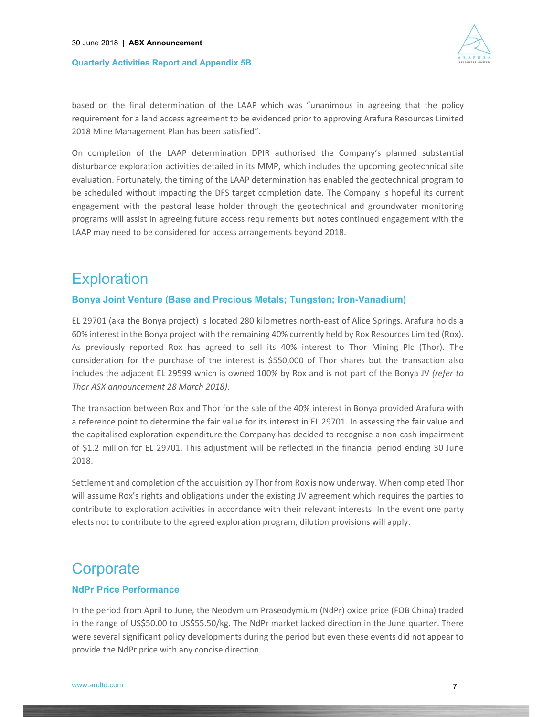



based on the final determination of the LAAP which was "unanimous in agreeing that the policy requirement for a land access agreement to be evidenced prior to approving Arafura Resources Limited 2018 Mine Management Plan has been satisfied".

On completion of the LAAP determination DPIR authorised the Company's planned substantial disturbance exploration activities detailed in its MMP, which includes the upcoming geotechnical site evaluation. Fortunately, the timing of the LAAP determination has enabled the geotechnical program to be scheduled without impacting the DFS target completion date. The Company is hopeful its current engagement with the pastoral lease holder through the geotechnical and groundwater monitoring programs will assist in agreeing future access requirements but notes continued engagement with the LAAP may need to be considered for access arrangements beyond 2018.

# **Exploration**

# **Bonya Joint Venture (Base and Precious Metals; Tungsten; Iron-Vanadium)**

EL 29701 (aka the Bonya project) is located 280 kilometres north‐east of Alice Springs. Arafura holds a 60% interest in the Bonya project with the remaining 40% currently held by Rox Resources Limited (Rox). As previously reported Rox has agreed to sell its 40% interest to Thor Mining Plc (Thor). The consideration for the purchase of the interest is \$550,000 of Thor shares but the transaction also includes the adjacent EL 29599 which is owned 100% by Rox and is not part of the Bonya JV *(refer to Thor ASX announcement 28 March 2018)*.

The transaction between Rox and Thor for the sale of the 40% interest in Bonya provided Arafura with a reference point to determine the fair value for its interest in EL 29701. In assessing the fair value and the capitalised exploration expenditure the Company has decided to recognise a non‐cash impairment of \$1.2 million for EL 29701. This adjustment will be reflected in the financial period ending 30 June 2018.

Settlement and completion of the acquisition by Thor from Rox is now underway. When completed Thor will assume Rox's rights and obligations under the existing JV agreement which requires the parties to contribute to exploration activities in accordance with their relevant interests. In the event one party elects not to contribute to the agreed exploration program, dilution provisions will apply.

# **Corporate**

# **NdPr Price Performance**

In the period from April to June, the Neodymium Praseodymium (NdPr) oxide price (FOB China) traded in the range of US\$50.00 to US\$55.50/kg. The NdPr market lacked direction in the June quarter. There were several significant policy developments during the period but even these events did not appear to provide the NdPr price with any concise direction.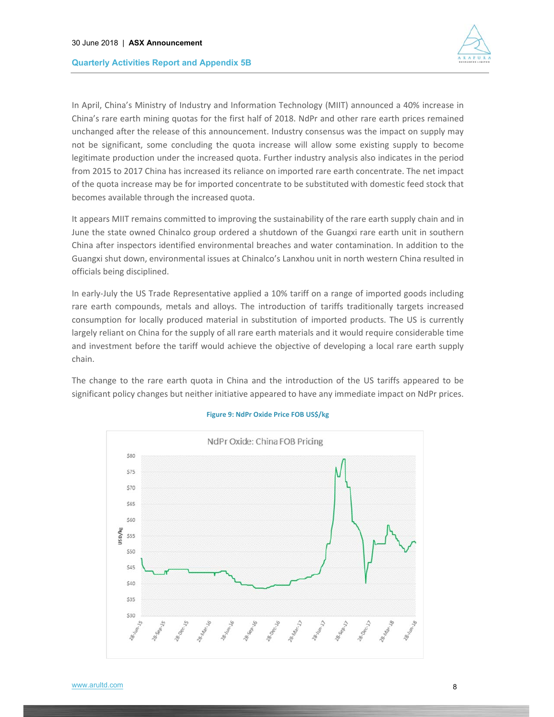

In April, China's Ministry of Industry and Information Technology (MIIT) announced a 40% increase in China's rare earth mining quotas for the first half of 2018. NdPr and other rare earth prices remained unchanged after the release of this announcement. Industry consensus was the impact on supply may not be significant, some concluding the quota increase will allow some existing supply to become legitimate production under the increased quota. Further industry analysis also indicates in the period from 2015 to 2017 China has increased its reliance on imported rare earth concentrate. The net impact of the quota increase may be for imported concentrate to be substituted with domestic feed stock that becomes available through the increased quota.

It appears MIIT remains committed to improving the sustainability of the rare earth supply chain and in June the state owned Chinalco group ordered a shutdown of the Guangxi rare earth unit in southern China after inspectors identified environmental breaches and water contamination. In addition to the Guangxi shut down, environmental issues at Chinalco's Lanxhou unit in north western China resulted in officials being disciplined.

In early‐July the US Trade Representative applied a 10% tariff on a range of imported goods including rare earth compounds, metals and alloys. The introduction of tariffs traditionally targets increased consumption for locally produced material in substitution of imported products. The US is currently largely reliant on China for the supply of all rare earth materials and it would require considerable time and investment before the tariff would achieve the objective of developing a local rare earth supply chain.

The change to the rare earth quota in China and the introduction of the US tariffs appeared to be significant policy changes but neither initiative appeared to have any immediate impact on NdPr prices.



### **Figure 9: NdPr Oxide Price FOB US\$/kg**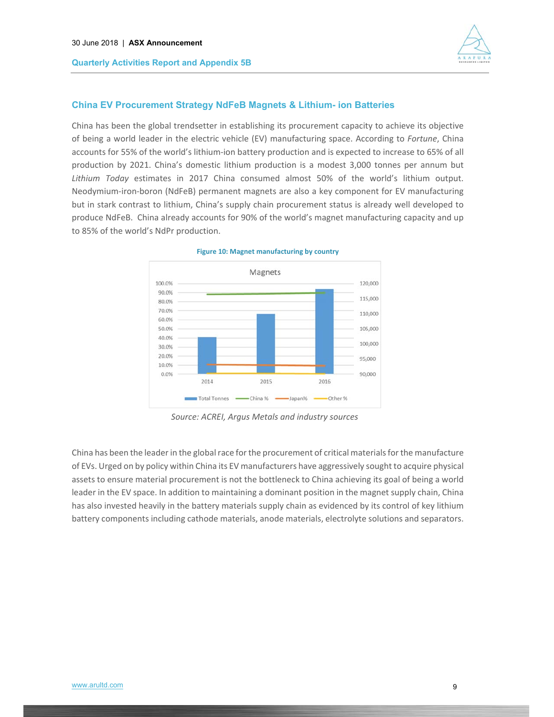



# **China EV Procurement Strategy NdFeB Magnets & Lithium- ion Batteries**

China has been the global trendsetter in establishing its procurement capacity to achieve its objective of being a world leader in the electric vehicle (EV) manufacturing space. According to *Fortune*, China accounts for 55% of the world's lithium‐ion battery production and is expected to increase to 65% of all production by 2021. China's domestic lithium production is a modest 3,000 tonnes per annum but *Lithium Today* estimates in 2017 China consumed almost 50% of the world's lithium output. Neodymium‐iron‐boron (NdFeB) permanent magnets are also a key component for EV manufacturing but in stark contrast to lithium, China's supply chain procurement status is already well developed to produce NdFeB. China already accounts for 90% of the world's magnet manufacturing capacity and up to 85% of the world's NdPr production.



**Figure 10: Magnet manufacturing by country** 

*Source: ACREI, Argus Metals and industry sources* 

China has been the leader in the global race for the procurement of critical materials for the manufacture of EVs. Urged on by policy within China its EV manufacturers have aggressively sought to acquire physical assets to ensure material procurement is not the bottleneck to China achieving its goal of being a world leader in the EV space. In addition to maintaining a dominant position in the magnet supply chain, China has also invested heavily in the battery materials supply chain as evidenced by its control of key lithium battery components including cathode materials, anode materials, electrolyte solutions and separators.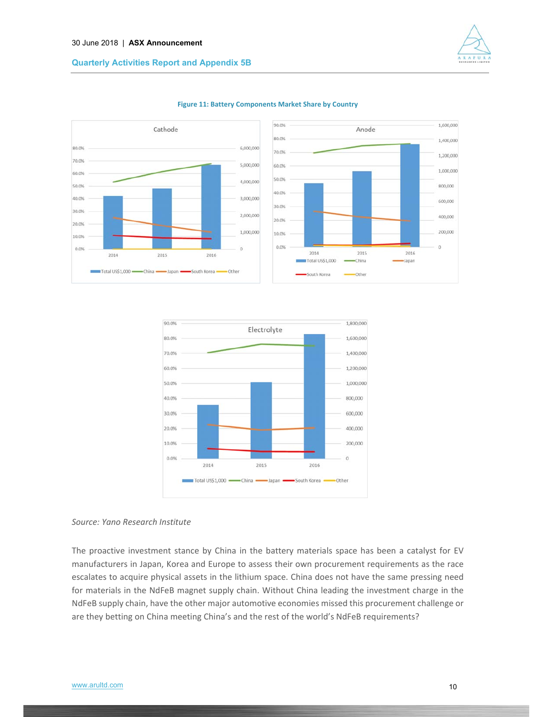

## **Figure 11: Battery Components Market Share by Country**



### *Source: Yano Research Institute*

The proactive investment stance by China in the battery materials space has been a catalyst for EV manufacturers in Japan, Korea and Europe to assess their own procurement requirements as the race escalates to acquire physical assets in the lithium space. China does not have the same pressing need for materials in the NdFeB magnet supply chain. Without China leading the investment charge in the NdFeB supply chain, have the other major automotive economies missed this procurement challenge or are they betting on China meeting China's and the rest of the world's NdFeB requirements?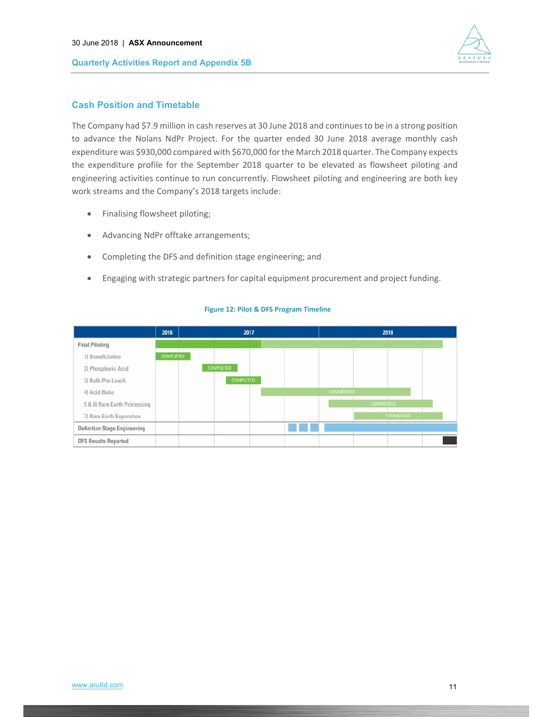



# **Cash Position and Timetable**

The Company had \$7.9 million in cash reserves at 30 June 2018 and continues to be in a strong position to advance the Nolans NdPr Project. For the quarter ended 30 June 2018 average monthly cash expenditure was \$930,000 compared with \$670,000 for the March 2018 quarter. The Company expects the expenditure profile for the September 2018 quarter to be elevated as flowsheet piloting and engineering activities continue to run concurrently. Flowsheet piloting and engineering are both key work streams and the Company's 2018 targets include:

- Finalising flowsheet piloting;
- Advancing NdPr offtake arrangements;
- Completing the DFS and definition stage engineering; and
- Engaging with strategic partners for capital equipment procurement and project funding.

|                                     | 2016             | 2017             | 2018             |
|-------------------------------------|------------------|------------------|------------------|
| <b>Final Piloting</b>               |                  |                  |                  |
| 1) Beneficiation                    | <b>COMPLETED</b> |                  |                  |
| 2) Phosphoric Acid                  |                  | <b>COMPLETED</b> |                  |
| 3) Bulk Pre-Leach                   |                  | <b>COMPLETED</b> |                  |
| 4) Acid Bake                        |                  |                  | <b>COMMENCED</b> |
| 5 & 6) Rare Earth Processing        |                  |                  | <b>COMMENCED</b> |
| 7) Rare Earth Separation            |                  |                  | <b>COMMENCED</b> |
| <b>Definition Stage Engineering</b> |                  |                  |                  |
| <b>DFS Results Reported</b>         |                  |                  |                  |

#### **Figure 12: Pilot & DFS Program Timeline**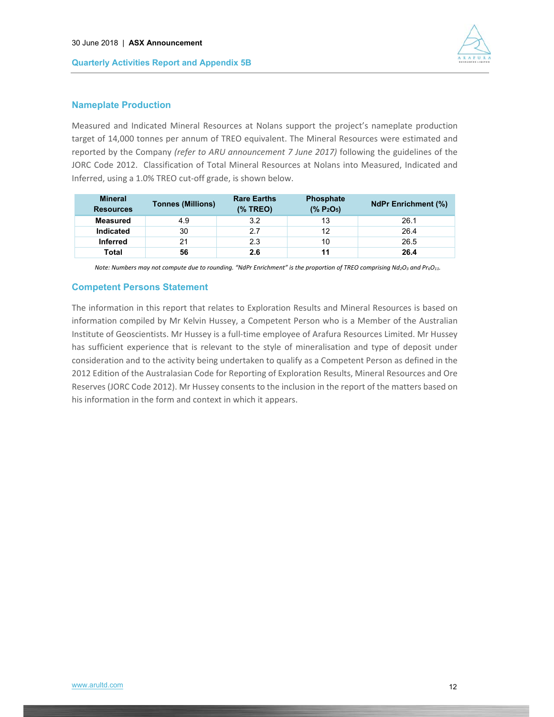

# **Nameplate Production**

Measured and Indicated Mineral Resources at Nolans support the project's nameplate production target of 14,000 tonnes per annum of TREO equivalent. The Mineral Resources were estimated and reported by the Company *(refer to ARU announcement 7 June 2017)* following the guidelines of the JORC Code 2012. Classification of Total Mineral Resources at Nolans into Measured, Indicated and Inferred, using a 1.0% TREO cut‐off grade, is shown below.

| <b>Mineral</b><br><b>Resources</b> | <b>Tonnes (Millions)</b> | <b>Rare Earths</b><br>$(%$ TREO) | <b>Phosphate</b><br>$(*6 P2O5)$ | <b>NdPr Enrichment (%)</b> |
|------------------------------------|--------------------------|----------------------------------|---------------------------------|----------------------------|
| <b>Measured</b>                    | 4.9                      | 3.2                              | 13                              | 26.1                       |
| <b>Indicated</b>                   | 30                       | 27                               | 12                              | 26.4                       |
| <b>Inferred</b>                    | 21                       | 2.3                              | 10                              | 26.5                       |
| Total                              | 56                       | 2.6                              |                                 | 26.4                       |

*Note: Numbers may not compute due to rounding. "NdPr Enrichment" is the proportion of TREO comprising Nd<sub>2</sub>O<sub>3</sub> and Pr<sub>6</sub>O<sub>11</sub>.* 

# **Competent Persons Statement**

The information in this report that relates to Exploration Results and Mineral Resources is based on information compiled by Mr Kelvin Hussey, a Competent Person who is a Member of the Australian Institute of Geoscientists. Mr Hussey is a full‐time employee of Arafura Resources Limited. Mr Hussey has sufficient experience that is relevant to the style of mineralisation and type of deposit under consideration and to the activity being undertaken to qualify as a Competent Person as defined in the 2012 Edition of the Australasian Code for Reporting of Exploration Results, Mineral Resources and Ore Reserves (JORC Code 2012). Mr Hussey consents to the inclusion in the report of the matters based on his information in the form and context in which it appears.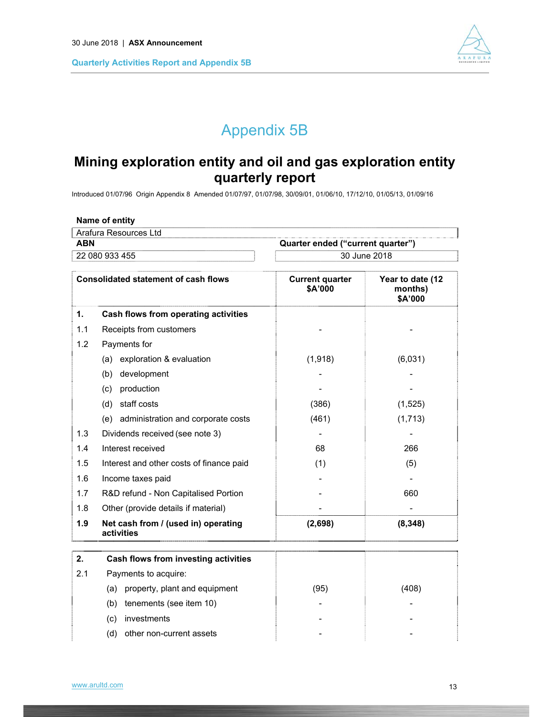

# Appendix 5B

# **Mining exploration entity and oil and gas exploration entity quarterly report**

Introduced 01/07/96 Origin Appendix 8 Amended 01/07/97, 01/07/98, 30/09/01, 01/06/10, 17/12/10, 01/05/13, 01/09/16

|                                             | Name of entity                                    |                                   |                                        |  |
|---------------------------------------------|---------------------------------------------------|-----------------------------------|----------------------------------------|--|
|                                             | Arafura Resources Ltd                             |                                   |                                        |  |
| <b>ABN</b>                                  |                                                   | Quarter ended ("current quarter") |                                        |  |
|                                             | 22 080 933 455                                    |                                   | 30 June 2018                           |  |
| <b>Consolidated statement of cash flows</b> |                                                   | <b>Current quarter</b><br>\$A'000 | Year to date (12<br>months)<br>\$A'000 |  |
| 1.                                          | Cash flows from operating activities              |                                   |                                        |  |
| 1.1                                         | Receipts from customers                           |                                   |                                        |  |
| 1.2                                         | Payments for                                      |                                   |                                        |  |
|                                             | exploration & evaluation<br>(a)                   | (1,918)                           | (6,031)                                |  |
|                                             | development<br>(b)                                |                                   |                                        |  |
|                                             | production<br>(c)                                 |                                   |                                        |  |
|                                             | staff costs<br>(d)                                | (386)                             | (1,525)                                |  |
|                                             | administration and corporate costs<br>(e)         | (461)                             | (1,713)                                |  |
| 1.3                                         | Dividends received (see note 3)                   |                                   |                                        |  |
| 1.4                                         | Interest received                                 | 68                                | 266                                    |  |
| 1.5                                         | Interest and other costs of finance paid          | (1)                               | (5)                                    |  |
| 1.6                                         | Income taxes paid                                 |                                   |                                        |  |
| 1.7                                         | R&D refund - Non Capitalised Portion              |                                   | 660                                    |  |
| 1.8                                         | Other (provide details if material)               |                                   |                                        |  |
| 1.9                                         | Net cash from / (used in) operating<br>activities | (2,698)                           | (8, 348)                               |  |

| 2.  | Cash flows from investing activities |      |       |  |  |  |
|-----|--------------------------------------|------|-------|--|--|--|
| 2.1 | Payments to acquire:                 |      |       |  |  |  |
|     | property, plant and equipment<br>(a) | (95) | (408) |  |  |  |
|     | tenements (see item 10)<br>(b)       |      |       |  |  |  |
|     | investments<br>(c)                   |      |       |  |  |  |
|     | other non-current assets<br>(d)      |      |       |  |  |  |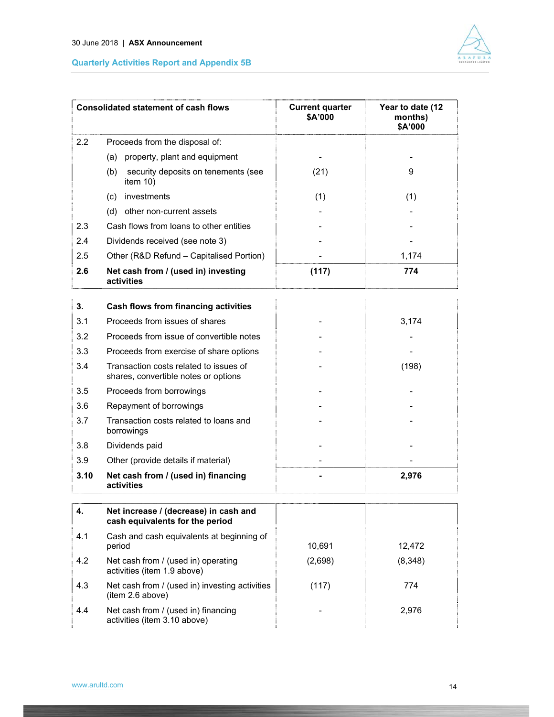

|      | <b>Consolidated statement of cash flows</b>                                    | <b>Current quarter</b><br>\$A'000 | Year to date (12<br>months)<br>\$A'000 |
|------|--------------------------------------------------------------------------------|-----------------------------------|----------------------------------------|
| 2.2  | Proceeds from the disposal of:                                                 |                                   |                                        |
|      | property, plant and equipment<br>(a)                                           |                                   |                                        |
|      | security deposits on tenements (see<br>(b)<br>item $10$ )                      | (21)                              | 9                                      |
|      | investments<br>(c)                                                             | (1)                               | (1)                                    |
|      | (d) other non-current assets                                                   |                                   |                                        |
| 2.3  | Cash flows from loans to other entities                                        |                                   |                                        |
| 2.4  | Dividends received (see note 3)                                                |                                   |                                        |
| 2.5  | Other (R&D Refund - Capitalised Portion)                                       |                                   | 1,174                                  |
| 2.6  | Net cash from / (used in) investing<br>activities                              | (117)                             | 774                                    |
| 3.   | Cash flows from financing activities                                           |                                   |                                        |
| 3.1  | Proceeds from issues of shares                                                 |                                   | 3,174                                  |
| 3.2  | Proceeds from issue of convertible notes                                       |                                   |                                        |
| 3.3  | Proceeds from exercise of share options                                        |                                   |                                        |
| 3.4  | Transaction costs related to issues of<br>shares, convertible notes or options |                                   | (198)                                  |
| 3.5  | Proceeds from borrowings                                                       |                                   |                                        |
| 3.6  | Repayment of borrowings                                                        |                                   |                                        |
| 3.7  | Transaction costs related to loans and<br>borrowings                           |                                   |                                        |
| 3.8  | Dividends paid                                                                 |                                   |                                        |
| 3.9  | Other (provide details if material)                                            |                                   |                                        |
| 3.10 | Net cash from / (used in) financing<br>activities                              |                                   | 2,976                                  |
| 4.   | Net increase / (decrease) in cash and<br>cash equivalents for the period       |                                   |                                        |
| 4.1  | Cash and cash equivalents at beginning of<br>period                            | 10,691                            | 12,472                                 |
| 4.2  | Net cash from / (used in) operating<br>activities (item 1.9 above)             | (2,698)                           | (8, 348)                               |
| 4.3  | Net cash from / (used in) investing activities<br>(item 2.6 above)             | (117)                             | 774                                    |
| 4.4  | Net cash from / (used in) financing<br>activities (item 3.10 above)            |                                   | 2,976                                  |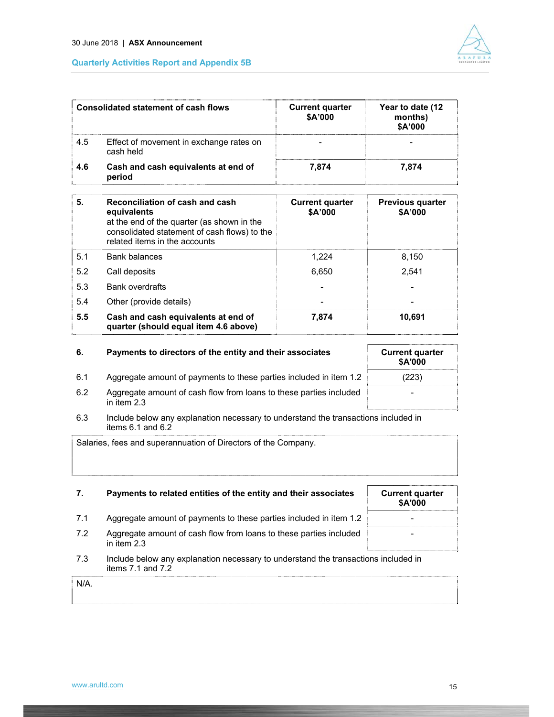

| Consolidated statement of cash flows |                                                      | <b>Current quarter</b><br>\$A'000 | Year to date (12<br>months)<br>\$A'000 |
|--------------------------------------|------------------------------------------------------|-----------------------------------|----------------------------------------|
| 4.5                                  | Effect of movement in exchange rates on<br>cash held |                                   |                                        |
| 4.6                                  | Cash and cash equivalents at end of<br>period        | 7.874                             | 7.874                                  |

| 5.  | Reconciliation of cash and cash<br>equivalents<br>at the end of the quarter (as shown in the<br>consolidated statement of cash flows) to the<br>related items in the accounts | <b>Current quarter</b><br>\$A'000 | Previous quarter<br>\$A'000 |  |
|-----|-------------------------------------------------------------------------------------------------------------------------------------------------------------------------------|-----------------------------------|-----------------------------|--|
| 5.1 | <b>Bank balances</b>                                                                                                                                                          | 1.224                             | 8,150                       |  |
| 5.2 | Call deposits                                                                                                                                                                 | 6,650                             | 2.541                       |  |
| 5.3 | <b>Bank overdrafts</b>                                                                                                                                                        |                                   |                             |  |
| 5.4 | Other (provide details)                                                                                                                                                       |                                   |                             |  |
| 5.5 | Cash and cash equivalents at end of<br>quarter (should equal item 4.6 above)                                                                                                  | 7.874                             | 10,691                      |  |

| 6.  | Payments to directors of the entity and their associates                            | <b>Current quarter</b><br><b>\$A'000</b> |
|-----|-------------------------------------------------------------------------------------|------------------------------------------|
| 6.1 | Aggregate amount of payments to these parties included in item 1.2                  | (223)                                    |
| 6.2 | Aggregate amount of cash flow from loans to these parties included<br>in item $2.3$ | -                                        |

6.3 Include below any explanation necessary to understand the transactions included in items  $6.1$  and  $6.2$ 

Salaries, fees and superannuation of Directors of the Company.

# **7.** Payments to related entities of the entity and their associates Current quarter

# **\$A'000**

-

- 7.1 Aggregate amount of payments to these parties included in item 1.2 7.2 Aggregate amount of cash flow from loans to these parties included in item 2.3
- 7.3 Include below any explanation necessary to understand the transactions included in items 7.1 and 7.2

| N/A. |  |  |
|------|--|--|
|      |  |  |
|      |  |  |
|      |  |  |
|      |  |  |
|      |  |  |
|      |  |  |
|      |  |  |
|      |  |  |
|      |  |  |
|      |  |  |
|      |  |  |
|      |  |  |
|      |  |  |
|      |  |  |
|      |  |  |
|      |  |  |
|      |  |  |
|      |  |  |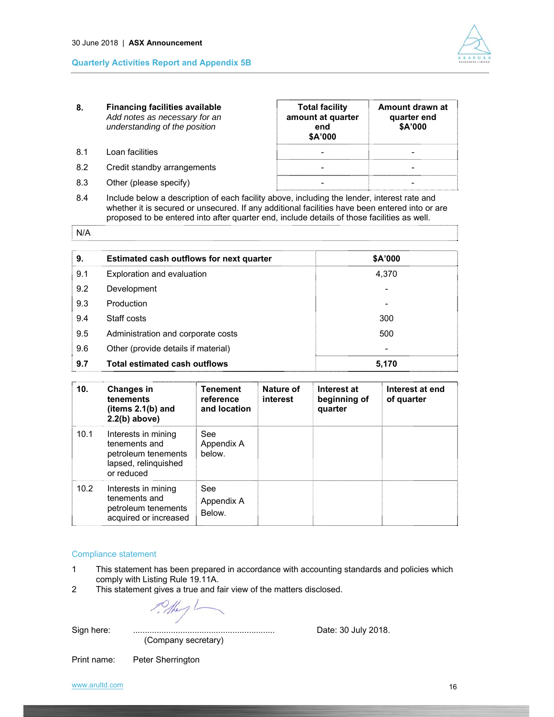

- **8. Financing facilities available** *Add notes as necessary for an understanding of the position*
- 

**Total facility amount at quarter end \$A'000 Amount drawn at quarter end \$A'000**  8.1 Loan facilities and the set of the set of the set of the set of the set of the set of the set of the set of the set of the set of the set of the set of the set of the set of the set of the set of the set of the set of 8.2 Credit standby arrangements and the standard standard standard standard standard standard standard standard standard standard standard standard standard standard standard standard standard standard standard standard st 8.3 Other (please specify) **and a set of the set of the set of the set of the set of the set of the set of the set of the set of the set of the set of the set of the set of the set of the set of the set of the set of the s** 

8.4 Include below a description of each facility above, including the lender, interest rate and whether it is secured or unsecured. If any additional facilities have been entered into or are proposed to be entered into after quarter end, include details of those facilities as well.

#### N/A

| 9.  | Estimated cash outflows for next quarter | \$A'000 |
|-----|------------------------------------------|---------|
| 9.1 | Exploration and evaluation               | 4,370   |
| 9.2 | Development                              |         |
| 9.3 | Production                               |         |
| 9.4 | Staff costs                              | 300     |
| 9.5 | Administration and corporate costs       | 500     |
| 9.6 | Other (provide details if material)      |         |
| 9.7 | <b>Total estimated cash outflows</b>     | 5,170   |

| 10 <sub>1</sub> | <b>Changes in</b><br>tenements<br>(items $2.1(b)$ and<br>$2.2(b)$ above)                          | <b>Tenement</b><br>reference<br>and location | Nature of<br>interest | Interest at<br>beginning of<br>quarter | Interest at end<br>of quarter |
|-----------------|---------------------------------------------------------------------------------------------------|----------------------------------------------|-----------------------|----------------------------------------|-------------------------------|
| 10.1            | Interests in mining<br>tenements and<br>petroleum tenements<br>lapsed, relinguished<br>or reduced | See<br>Appendix A<br>below.                  |                       |                                        |                               |
| 10.2            | Interests in mining<br>tenements and<br>petroleum tenements<br>acquired or increased              | See<br>Appendix A<br>Below.                  |                       |                                        |                               |

### Compliance statement

- 1 This statement has been prepared in accordance with accounting standards and policies which comply with Listing Rule 19.11A.
- 2 This statement gives a true and fair view of the matters disclosed.

(Company secretary)

Sign here: ............................................................ Date: 30 July 2018.

Print name: Peter Sherrington